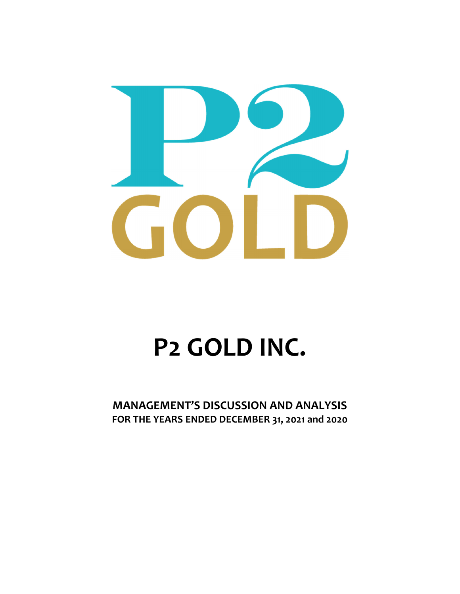

# **P2 GOLD INC.**

**MANAGEMENT'S DISCUSSION AND ANALYSIS FOR THE YEARS ENDED DECEMBER 31, 2021 and 2020**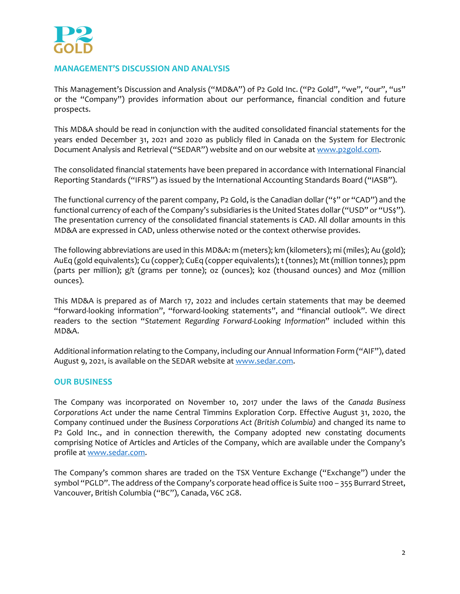

# **MANAGEMENT'S DISCUSSION AND ANALYSIS**

This Management's Discussion and Analysis ("MD&A") of P2 Gold Inc. ("P2 Gold", "we", "our", "us" or the "Company") provides information about our performance, financial condition and future prospects.

This MD&A should be read in conjunction with the audited consolidated financial statements for the years ended December 31, 2021 and 2020 as publicly filed in Canada on the System for Electronic Document Analysis and Retrieval ("SEDAR") website and on our website at www.p2gold.com.

The consolidated financial statements have been prepared in accordance with International Financial Reporting Standards ("IFRS") as issued by the International Accounting Standards Board ("IASB").

The functional currency of the parent company, P2 Gold, is the Canadian dollar ("\$" or "CAD") and the functional currency of each of the Company's subsidiaries is the United States dollar ("USD" or "US\$"). The presentation currency of the consolidated financial statements is CAD. All dollar amounts in this MD&A are expressed in CAD, unless otherwise noted or the context otherwise provides.

The following abbreviations are used in this MD&A: m (meters); km (kilometers); mi (miles); Au (gold); AuEq (gold equivalents); Cu (copper); CuEq (copper equivalents); t (tonnes); Mt (million tonnes); ppm (parts per million); g/t (grams per tonne); oz (ounces); koz (thousand ounces) and Moz (million ounces).

This MD&A is prepared as of March 17, 2022 and includes certain statements that may be deemed "forward‐looking information", "forward‐looking statements", and "financial outlook". We direct readers to the section "*Statement Regarding Forward‐Looking Information*" included within this MD&A.

Additional information relating to the Company, including our Annual Information Form ("AIF"), dated August 9, 2021, is available on the SEDAR website at www.sedar.com.

# **OUR BUSINESS**

The Company was incorporated on November 10, 2017 under the laws of the *Canada Business Corporations Act* under the name Central Timmins Exploration Corp. Effective August 31, 2020, the Company continued under the *Business Corporations Act (British Columbia)* and changed its name to P2 Gold Inc., and in connection therewith, the Company adopted new constating documents comprising Notice of Articles and Articles of the Company, which are available under the Company's profile at www.sedar.com.

The Company's common shares are traded on the TSX Venture Exchange ("Exchange") under the symbol "PGLD". The address of the Company's corporate head office is Suite 1100 - 355 Burrard Street, Vancouver, British Columbia ("BC"), Canada, V6C 2G8.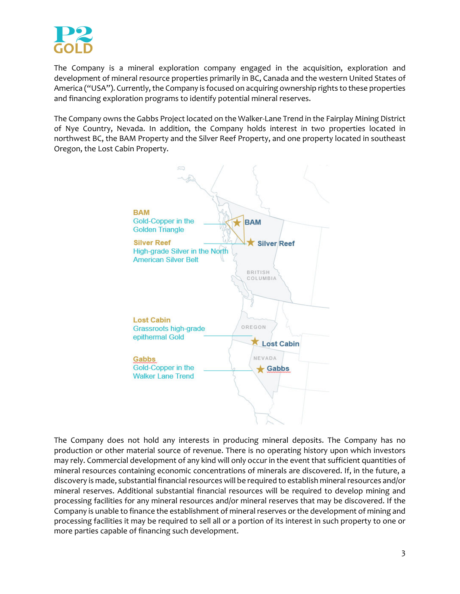

The Company is a mineral exploration company engaged in the acquisition, exploration and development of mineral resource properties primarily in BC, Canada and the western United States of America ("USA"). Currently, the Company is focused on acquiring ownership rights to these properties and financing exploration programs to identify potential mineral reserves.

The Company owns the Gabbs Project located on the Walker‐Lane Trend in the Fairplay Mining District of Nye Country, Nevada. In addition, the Company holds interest in two properties located in northwest BC, the BAM Property and the Silver Reef Property, and one property located in southeast Oregon, the Lost Cabin Property.



The Company does not hold any interests in producing mineral deposits. The Company has no production or other material source of revenue. There is no operating history upon which investors may rely. Commercial development of any kind will only occur in the event that sufficient quantities of mineral resources containing economic concentrations of minerals are discovered. If, in the future, a discovery is made, substantial financial resources will be required to establish mineral resources and/or mineral reserves. Additional substantial financial resources will be required to develop mining and processing facilities for any mineral resources and/or mineral reserves that may be discovered. If the Company is unable to finance the establishment of mineral reserves or the development of mining and processing facilities it may be required to sell all or a portion of its interest in such property to one or more parties capable of financing such development.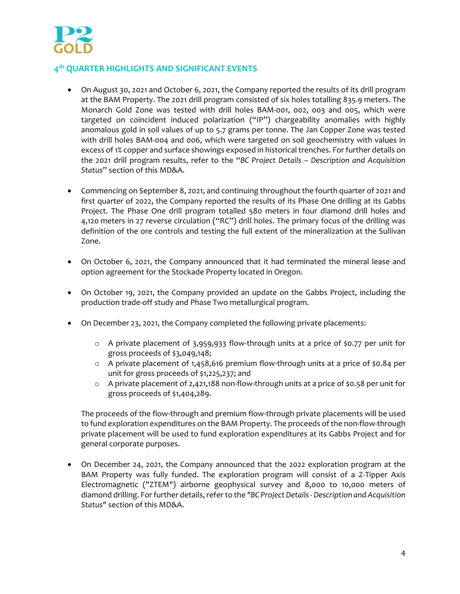

# **4th QUARTER HIGHLIGHTS AND SIGNIFICANT EVENTS**

- On August 30, 2021 and October 6, 2021, the Company reported the results of its drill program at the BAM Property. The 2021 drill program consisted of six holes totalling 835.9 meters. The Monarch Gold Zone was tested with drill holes BAM‐001, 002, 003 and 005, which were targeted on coincident induced polarization ("IP") chargeability anomalies with highly anomalous gold in soil values of up to 5.7 grams per tonne. The Jan Copper Zone was tested with drill holes BAM-004 and 006, which were targeted on soil geochemistry with values in excess of 1% copper and surface showings exposed in historical trenches. For further details on the 2021 drill program results, refer to the "*BC Project Details – Description and Acquisition Status*" section of this MD&A.
- Commencing on September 8, 2021, and continuing throughout the fourth quarter of 2021 and first quarter of 2022, the Company reported the results of its Phase One drilling at its Gabbs Project. The Phase One drill program totalled 580 meters in four diamond drill holes and 4,120 meters in 27 reverse circulation ("RC") drill holes. The primary focus of the drilling was definition of the ore controls and testing the full extent of the mineralization at the Sullivan Zone.
- On October 6, 2021, the Company announced that it had terminated the mineral lease and option agreement for the Stockade Property located in Oregon.
- On October 19, 2021, the Company provided an update on the Gabbs Project, including the production trade‐off study and Phase Two metallurgical program.
- On December 23, 2021, the Company completed the following private placements:
	- o A private placement of 3,959,933 flow‐through units at a price of \$0.77 per unit for gross proceeds of \$3,049,148;
	- o A private placement of 1,458,616 premium flow‐through units at a price of \$0.84 per unit for gross proceeds of \$1,225,237; and
	- o A private placement of 2,421,188 non‐flow‐through units at a price of \$0.58 per unit for gross proceeds of \$1,404,289.

The proceeds of the flow‐through and premium flow‐through private placements will be used to fund exploration expenditures on the BAM Property. The proceeds of the non-flow-through private placement will be used to fund exploration expenditures at its Gabbs Project and for general corporate purposes.

 On December 24, 2021, the Company announced that the 2022 exploration program at the BAM Property was fully funded. The exploration program will consist of a Z‐Tipper Axis Electromagnetic ("ZTEM") airborne geophysical survey and 8,000 to 10,000 meters of diamond drilling. Forfurther details,referto the *"BC Project Details ‐ Description and Acquisition Status"* section of this MD&A.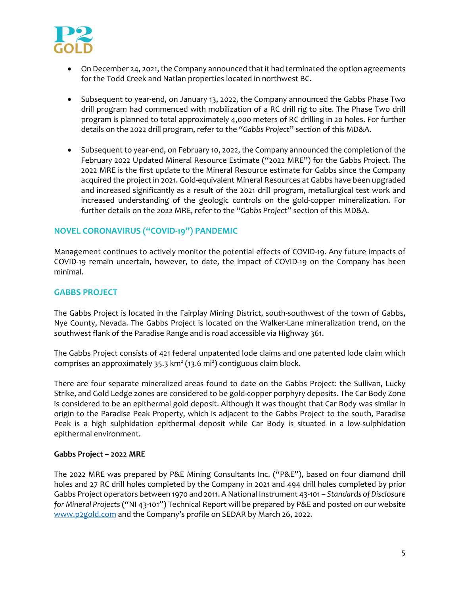

- On December 24, 2021, the Company announced that it had terminated the option agreements for the Todd Creek and Natlan properties located in northwest BC.
- Subsequent to year‐end, on January 13, 2022, the Company announced the Gabbs Phase Two drill program had commenced with mobilization of a RC drill rig to site. The Phase Two drill program is planned to total approximately 4,000 meters of RC drilling in 20 holes. For further details on the 2022 drill program, refer to the "*Gabbs Project*" section of this MD&A.
- Subsequent to year‐end, on February 10, 2022, the Company announced the completion of the February 2022 Updated Mineral Resource Estimate ("2022 MRE") for the Gabbs Project. The 2022 MRE is the first update to the Mineral Resource estimate for Gabbs since the Company acquired the project in 2021. Gold‐equivalent Mineral Resources at Gabbs have been upgraded and increased significantly as a result of the 2021 drill program, metallurgical test work and increased understanding of the geologic controls on the gold‐copper mineralization. For further details on the 2022 MRE, refer to the "*Gabbs Project*" section of this MD&A.

# **NOVEL CORONAVIRUS ("COVID‐19") PANDEMIC**

Management continues to actively monitor the potential effects of COVID‐19. Any future impacts of COVID‐19 remain uncertain, however, to date, the impact of COVID‐19 on the Company has been minimal.

# **GABBS PROJECT**

The Gabbs Project is located in the Fairplay Mining District, south-southwest of the town of Gabbs, Nye County, Nevada. The Gabbs Project is located on the Walker‐Lane mineralization trend, on the southwest flank of the Paradise Range and is road accessible via Highway 361.

The Gabbs Project consists of 421 federal unpatented lode claims and one patented lode claim which comprises an approximately 35.3 km<sup>2</sup> (13.6 mi<sup>2</sup>) contiguous claim block.

There are four separate mineralized areas found to date on the Gabbs Project: the Sullivan, Lucky Strike, and Gold Ledge zones are considered to be gold‐copper porphyry deposits. The Car Body Zone is considered to be an epithermal gold deposit. Although it was thought that Car Body was similar in origin to the Paradise Peak Property, which is adjacent to the Gabbs Project to the south, Paradise Peak is a high sulphidation epithermal deposit while Car Body is situated in a low-sulphidation epithermal environment.

## **Gabbs Project – 2022 MRE**

The 2022 MRE was prepared by P&E Mining Consultants Inc. ("P&E"), based on four diamond drill holes and 27 RC drill holes completed by the Company in 2021 and 494 drill holes completed by prior Gabbs Project operators between 1970 and 2011. A National Instrument 43‐101 – *Standards of Disclosure for Mineral Projects* ("NI 43‐101") Technical Report will be prepared by P&E and posted on our website www.p2gold.com and the Company's profile on SEDAR by March 26, 2022.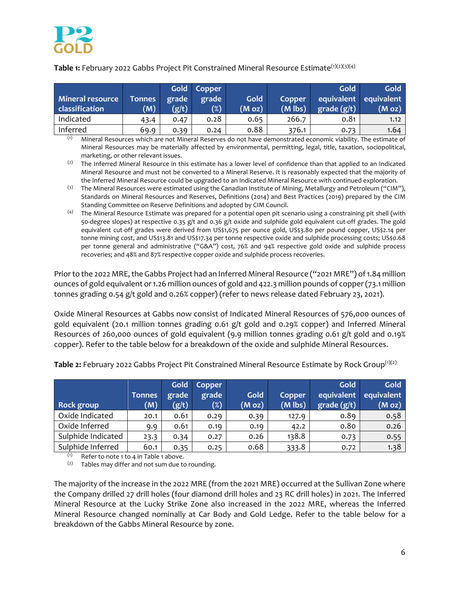

**Table 1:** February 2022 Gabbs Project Pit Constrained Mineral Resource Estimate<sup>(1)(2)(3)(4)</sup>

| Mineral resource<br>classification | <b>Tonnes</b><br>(M) | grade<br>(g/t) | Gold Copper<br>grade<br>$(\%)$ | <b>Gold</b><br>(M oz) | Copper<br>$(M$ lbs) | Gold<br>grade (g/t) | Gold<br>equivalent equivalent<br>(M oz) |
|------------------------------------|----------------------|----------------|--------------------------------|-----------------------|---------------------|---------------------|-----------------------------------------|
| Indicated                          | 43.4                 | 0.47           | 0.28                           | 0.65                  | 266.7               | 0.81                | 1.12                                    |
| Inferred                           | 69.9                 | 0.39           | 0.24                           | 0.88                  | 376.1               | 0.73                | 1.64                                    |

(1) Mineral Resources which are not Mineral Reserves do not have demonstrated economic viability. The estimate of Mineral Resources may be materially affected by environmental, permitting, legal, title, taxation, sociopolitical, marketing, or other relevant issues.

<sup>(2)</sup> The Inferred Mineral Resource in this estimate has a lower level of confidence than that applied to an Indicated Mineral Resource and must not be converted to a Mineral Reserve. It is reasonably expected that the majority of the Inferred Mineral Resource could be upgraded to an Indicated Mineral Resource with continued exploration.

- (3) The Mineral Resources were estimated using the Canadian Institute of Mining, Metallurgy and Petroleum ("CIM"), Standards on Mineral Resources and Reserves, Definitions (2014) and Best Practices (2019) prepared by the CIM Standing Committee on Reserve Definitions and adopted by CIM Council.
- (4) The Mineral Resource Estimate was prepared for a potential open pit scenario using a constraining pit shell (with 50-degree slopes) at respective 0.35 g/t and 0.36 g/t oxide and sulphide gold equivalent cut-off grades. The gold equivalent cut‐off grades were derived from US\$1,675 per ounce gold, US\$3.80 per pound copper, US\$2.14 per tonne mining cost, and US\$13.81 and US\$17.34 per tonne respective oxide and sulphide processing costs; US\$0.68 per tonne general and administrative ("G&A") cost, 76% and 94% respective gold oxide and sulphide process recoveries; and 48% and 87% respective copper oxide and sulphide process recoveries.

Prior to the 2022 MRE, the Gabbs Project had an Inferred Mineral Resource ("2021 MRE") of 1.84 million ounces of gold equivalent or1.26 million ounces of gold and 422.3 million pounds of copper(73.1 million tonnes grading 0.54 g/t gold and 0.26% copper) (refer to news release dated February 23, 2021).

Oxide Mineral Resources at Gabbs now consist of Indicated Mineral Resources of 576,000 ounces of gold equivalent (20.1 million tonnes grading 0.61 g/t gold and 0.29% copper) and Inferred Mineral Resources of 260,000 ounces of gold equivalent (9.9 million tonnes grading 0.61 g/t gold and 0.19% copper). Refer to the table below for a breakdown of the oxide and sulphide Mineral Resources.

| <b>Rock group</b>  | <b>Tonnes</b><br>(M) | Gold<br>grade<br>(g/t) | Copper<br>grade<br>$(\%)$ | Gold<br>(M oz) | Copper<br>$(M$ lbs) | Gold<br>equivalent<br>grade (g/t) | Gold<br>equivalent<br>(M oz) |
|--------------------|----------------------|------------------------|---------------------------|----------------|---------------------|-----------------------------------|------------------------------|
| Oxide Indicated    | 20.1                 | 0.61                   | 0.29                      | 0.39           | 127.9               | 0.89                              | 0.58                         |
| Oxide Inferred     | 9.9                  | 0.61                   | 0.19                      | 0.19           | 42.2                | 0.80                              | 0.26                         |
| Sulphide Indicated | 23.3                 | 0.34                   | 0.27                      | 0.26           | 138.8               | 0.73                              | 0.55                         |
| Sulphide Inferred  | 60.1                 | 0.35                   | 0.25                      | 0.68           | 333.8               | 0.72                              | 1.38                         |

Table 2: February 2022 Gabbs Project Pit Constrained Mineral Resource Estimate by Rock Group<sup>(1)(2)</sup>

 $(1)$  Refer to note 1 to 4 in Table 1 above.

 $(2)$  Tables may differ and not sum due to rounding.

The majority of the increase in the 2022 MRE (from the 2021 MRE) occurred at the Sullivan Zone where the Company drilled 27 drill holes (four diamond drill holes and 23 RC drill holes) in 2021. The Inferred Mineral Resource at the Lucky Strike Zone also increased in the 2022 MRE, whereas the Inferred Mineral Resource changed nominally at Car Body and Gold Ledge. Refer to the table below for a breakdown of the Gabbs Mineral Resource by zone.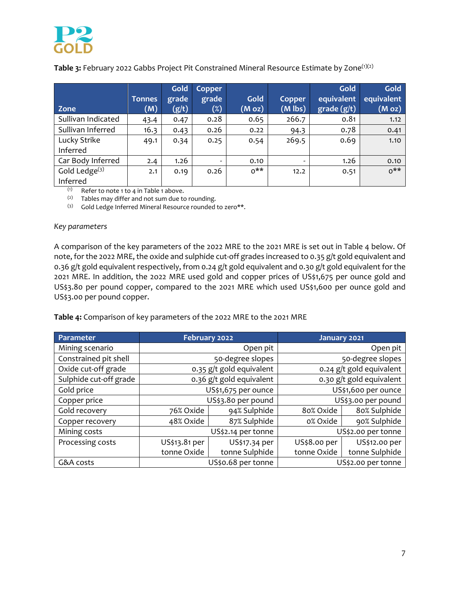

**Table 3:** February 2022 Gabbs Project Pit Constrained Mineral Resource Estimate by Zone<sup>(1)(2)</sup>

| Zone                         | <b>Tonnes</b><br>(M) | Gold<br>grade<br>(g/t) | Copper<br>grade<br>$(\%)$ | Gold<br>(M oz) | Copper<br>$(M$ lbs) | Gold<br>equivalent<br>grade (g/t) | Gold<br>equivalent<br>(M oz) |
|------------------------------|----------------------|------------------------|---------------------------|----------------|---------------------|-----------------------------------|------------------------------|
| Sullivan Indicated           | 43.4                 | 0.47                   | 0.28                      | 0.65           | 266.7               | 0.81                              | 1.12                         |
| Sullivan Inferred            | 16.3                 | 0.43                   | 0.26                      | 0.22           | 94.3                | 0.78                              | 0.41                         |
| Lucky Strike<br>Inferred     | 49.1                 | 0.34                   | 0.25                      | 0.54           | 269.5               | 0.69                              | 1.10                         |
| Car Body Inferred            | 2.4                  | 1.26                   |                           | 0.10           | -                   | 1.26                              | 0.10                         |
| Gold Ledge $(3)$<br>Inferred | 2.1                  | 0.19                   | 0.26                      | $0***$         | 12.2                | 0.51                              | $0***$                       |

 $(1)$  Refer to note 1 to 4 in Table 1 above.

 $(2)$  Tables may differ and not sum due to rounding.

(3) Gold Ledge Inferred Mineral Resource rounded to zero\*\*.

#### *Key parameters*

A comparison of the key parameters of the 2022 MRE to the 2021 MRE is set out in Table 4 below. Of note, for the 2022 MRE, the oxide and sulphide cut-off grades increased to 0.35 g/t gold equivalent and 0.36 g/t gold equivalent respectively, from 0.24 g/t gold equivalent and 0.30 g/t gold equivalent for the 2021 MRE. In addition, the 2o22 MRE used gold and copper prices of US\$1,675 per ounce gold and US\$3.80 per pound copper, compared to the 2021 MRE which used US\$1,600 per ounce gold and US\$3.00 per pound copper.

**Table 4:** Comparison of key parameters of the 2022 MRE to the 2021 MRE

| Parameter              | February 2022 |                          | January 2021        |                          |  |  |  |
|------------------------|---------------|--------------------------|---------------------|--------------------------|--|--|--|
| Mining scenario        |               | Open pit                 |                     | Open pit                 |  |  |  |
| Constrained pit shell  |               | 50-degree slopes         |                     | 50-degree slopes         |  |  |  |
| Oxide cut-off grade    |               | 0.35 g/t gold equivalent |                     | 0.24 g/t gold equivalent |  |  |  |
| Sulphide cut-off grade |               | 0.36 g/t gold equivalent |                     | 0.30 g/t gold equivalent |  |  |  |
| Gold price             |               | US\$1,675 per ounce      | US\$1,600 per ounce |                          |  |  |  |
| Copper price           |               | US\$3.80 per pound       | US\$3.00 per pound  |                          |  |  |  |
| Gold recovery          | 76% Oxide     | 94% Sulphide             | 80% Oxide           | 80% Sulphide             |  |  |  |
| Copper recovery        | 48% Oxide     | 87% Sulphide             | o% Oxide            | 90% Sulphide             |  |  |  |
| Mining costs           |               | US\$2.14 per tonne       |                     | US\$2.00 per tonne       |  |  |  |
| Processing costs       | US\$13.81 per | US\$17.34 per            | US\$8.00 per        | US\$12.00 per            |  |  |  |
|                        | tonne Oxide   | tonne Sulphide           | tonne Oxide         | tonne Sulphide           |  |  |  |
| G&A costs              |               | US\$0.68 per tonne       | US\$2.00 per tonne  |                          |  |  |  |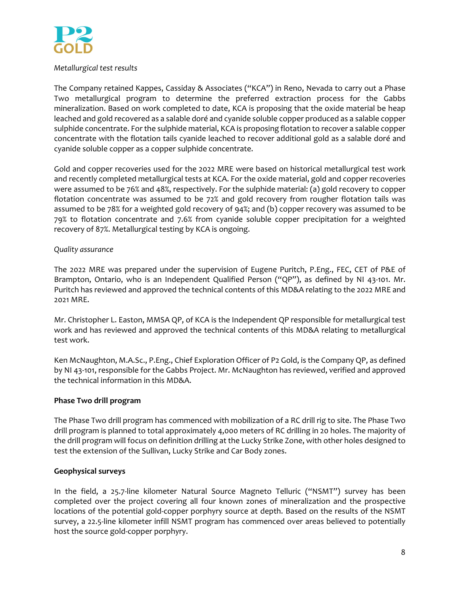

# *Metallurgical test results*

The Company retained Kappes, Cassiday & Associates ("KCA") in Reno, Nevada to carry out a Phase Two metallurgical program to determine the preferred extraction process for the Gabbs mineralization. Based on work completed to date, KCA is proposing that the oxide material be heap leached and gold recovered as a salable doré and cyanide soluble copper produced as a salable copper sulphide concentrate. For the sulphide material, KCA is proposing flotation to recover a salable copper concentrate with the flotation tails cyanide leached to recover additional gold as a salable doré and cyanide soluble copper as a copper sulphide concentrate.

Gold and copper recoveries used for the 2022 MRE were based on historical metallurgical test work and recently completed metallurgical tests at KCA. For the oxide material, gold and copper recoveries were assumed to be 76% and 48%, respectively. For the sulphide material: (a) gold recovery to copper flotation concentrate was assumed to be 72% and gold recovery from rougher flotation tails was assumed to be 78% for a weighted gold recovery of 94%; and (b) copper recovery was assumed to be 79% to flotation concentrate and 7.6% from cyanide soluble copper precipitation for a weighted recovery of 87%. Metallurgical testing by KCA is ongoing.

# *Quality assurance*

The 2022 MRE was prepared under the supervision of Eugene Puritch, P.Eng., FEC, CET of P&E of Brampton, Ontario, who is an Independent Qualified Person ("QP"), as defined by NI 43-101. Mr. Puritch has reviewed and approved the technical contents of this MD&A relating to the 2022 MRE and 2021 MRE.

Mr. Christopher L. Easton, MMSA QP, of KCA is the Independent QP responsible for metallurgical test work and has reviewed and approved the technical contents of this MD&A relating to metallurgical test work.

Ken McNaughton, M.A.Sc., P.Eng., Chief Exploration Officer of P2 Gold, is the Company QP, as defined by NI 43‐101, responsible for the Gabbs Project. Mr. McNaughton has reviewed, verified and approved the technical information in this MD&A.

# **Phase Two drill program**

The Phase Two drill program has commenced with mobilization of a RC drill rig to site. The Phase Two drill program is planned to total approximately 4,000 meters of RC drilling in 20 holes. The majority of the drill program will focus on definition drilling at the Lucky Strike Zone, with other holes designed to test the extension of the Sullivan, Lucky Strike and Car Body zones.

# **Geophysical surveys**

In the field, a 25.7-line kilometer Natural Source Magneto Telluric ("NSMT") survey has been completed over the project covering all four known zones of mineralization and the prospective locations of the potential gold‐copper porphyry source at depth. Based on the results of the NSMT survey, a 22.5‐line kilometer infill NSMT program has commenced over areas believed to potentially host the source gold‐copper porphyry.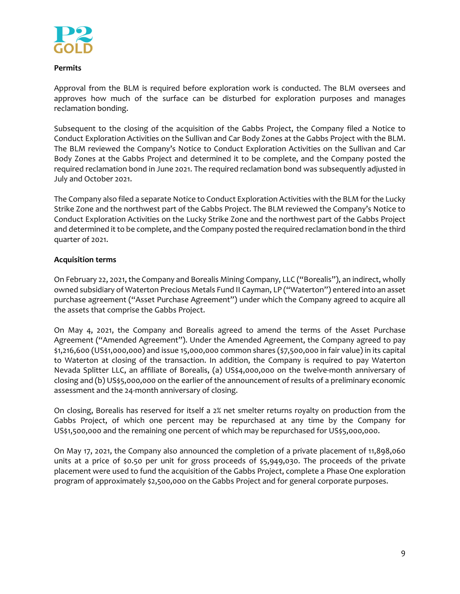

# **Permits**

Approval from the BLM is required before exploration work is conducted. The BLM oversees and approves how much of the surface can be disturbed for exploration purposes and manages reclamation bonding.

Subsequent to the closing of the acquisition of the Gabbs Project, the Company filed a Notice to Conduct Exploration Activities on the Sullivan and Car Body Zones at the Gabbs Project with the BLM. The BLM reviewed the Company's Notice to Conduct Exploration Activities on the Sullivan and Car Body Zones at the Gabbs Project and determined it to be complete, and the Company posted the required reclamation bond in June 2021. The required reclamation bond was subsequently adjusted in July and October 2021.

The Company also filed a separate Notice to Conduct Exploration Activities with the BLM for the Lucky Strike Zone and the northwest part of the Gabbs Project. The BLM reviewed the Company's Notice to Conduct Exploration Activities on the Lucky Strike Zone and the northwest part of the Gabbs Project and determined it to be complete, and the Company posted the required reclamation bond in the third quarter of 2021.

# **Acquisition terms**

On February 22, 2021, the Company and Borealis Mining Company, LLC ("Borealis"), an indirect, wholly owned subsidiary of Waterton Precious Metals Fund II Cayman, LP ("Waterton") entered into an asset purchase agreement ("Asset Purchase Agreement") under which the Company agreed to acquire all the assets that comprise the Gabbs Project.

On May 4, 2021, the Company and Borealis agreed to amend the terms of the Asset Purchase Agreement ("Amended Agreement"). Under the Amended Agreement, the Company agreed to pay \$1,216,600 (US\$1,000,000) and issue 15,000,000 common shares (\$7,500,000 in fair value) in its capital to Waterton at closing of the transaction. In addition, the Company is required to pay Waterton Nevada Splitter LLC, an affiliate of Borealis, (a) US\$4,000,000 on the twelve-month anniversary of closing and (b) US\$5,000,000 on the earlier of the announcement of results of a preliminary economic assessment and the 24‐month anniversary of closing.

On closing, Borealis has reserved for itself a 2% net smelter returns royalty on production from the Gabbs Project, of which one percent may be repurchased at any time by the Company for US\$1,500,000 and the remaining one percent of which may be repurchased for US\$5,000,000.

On May 17, 2021, the Company also announced the completion of a private placement of 11,898,060 units at a price of \$0.50 per unit for gross proceeds of \$5,949,030. The proceeds of the private placement were used to fund the acquisition of the Gabbs Project, complete a Phase One exploration program of approximately \$2,500,000 on the Gabbs Project and for general corporate purposes.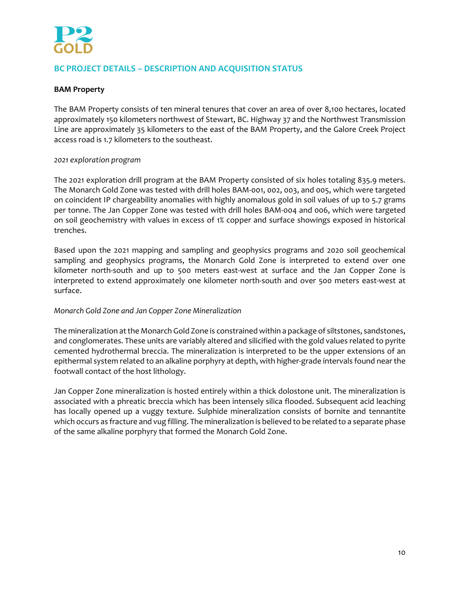

# **BC PROJECT DETAILS – DESCRIPTION AND ACQUISITION STATUS**

# **BAM Property**

The BAM Property consists of ten mineral tenures that cover an area of over 8,100 hectares, located approximately 150 kilometers northwest of Stewart, BC. Highway 37 and the Northwest Transmission Line are approximately 35 kilometers to the east of the BAM Property, and the Galore Creek Project access road is 1.7 kilometers to the southeast.

## *2021 exploration program*

The 2021 exploration drill program at the BAM Property consisted of six holes totaling 835.9 meters. The Monarch Gold Zone was tested with drill holes BAM‐001, 002, 003, and 005, which were targeted on coincident IP chargeability anomalies with highly anomalous gold in soil values of up to 5.7 grams per tonne. The Jan Copper Zone was tested with drill holes BAM‐004 and 006, which were targeted on soil geochemistry with values in excess of 1% copper and surface showings exposed in historical trenches.

Based upon the 2021 mapping and sampling and geophysics programs and 2020 soil geochemical sampling and geophysics programs, the Monarch Gold Zone is interpreted to extend over one kilometer north-south and up to 500 meters east-west at surface and the Jan Copper Zone is interpreted to extend approximately one kilometer north-south and over 500 meters east-west at surface.

## *Monarch Gold Zone and Jan Copper Zone Mineralization*

The mineralization at the Monarch Gold Zone is constrained within a package of siltstones, sandstones, and conglomerates. These units are variably altered and silicified with the gold values related to pyrite cemented hydrothermal breccia. The mineralization is interpreted to be the upper extensions of an epithermal system related to an alkaline porphyry at depth, with higher-grade intervals found near the footwall contact of the host lithology.

Jan Copper Zone mineralization is hosted entirely within a thick dolostone unit. The mineralization is associated with a phreatic breccia which has been intensely silica flooded. Subsequent acid leaching has locally opened up a vuggy texture. Sulphide mineralization consists of bornite and tennantite which occurs as fracture and vug filling. The mineralization is believed to be related to a separate phase of the same alkaline porphyry that formed the Monarch Gold Zone.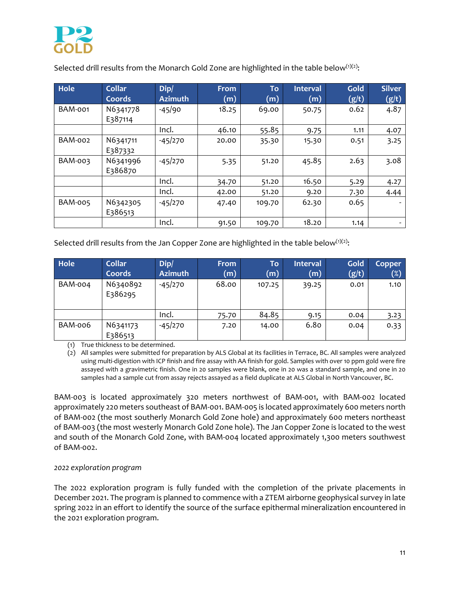

Selected drill results from the Monarch Gold Zone are highlighted in the table below $(1)(2)$ :

| <b>Hole</b>    | <b>Collar</b><br>Coords | Dip/<br><b>Azimuth</b> | <b>From</b><br>(m) | To<br>(m) | Interval<br>(m) | Gold<br>(g/t) | <b>Silver</b><br>(g/t) |
|----------------|-------------------------|------------------------|--------------------|-----------|-----------------|---------------|------------------------|
| <b>BAM-001</b> | N6341778<br>E387114     | $-45/90$               | 18.25              | 69.00     | 50.75           | 0.62          | 4.87                   |
|                |                         | Incl.                  | 46.10              | 55.85     | 9.75            | 1.11          | 4.07                   |
| BAM-002        | N6341711<br>E387332     | $-45/270$              | 20.00              | 35.30     | 15.30           | 0.51          | 3.25                   |
| BAM-003        | N6341996<br>E386870     | $-45/270$              | 5.35               | 51.20     | 45.85           | 2.63          | 3.08                   |
|                |                         | Incl.                  | 34.70              | 51.20     | 16.50           | 5.29          | 4.27                   |
|                |                         | Incl.                  | 42.00              | 51.20     | 9.20            | 7.30          | 4.44                   |
| <b>BAM-005</b> | N6342305<br>E386513     | $-45/270$              | 47.40              | 109.70    | 62.30           | 0.65          |                        |
|                |                         | Incl.                  | 91.50              | 109.70    | 18.20           | 1.14          | -                      |

Selected drill results from the Jan Copper Zone are highlighted in the table below $(1)(2)$ :

| Hole           | <b>Collar</b>       | Dip/           | <b>From</b> | To     | Interval | Gold  | <b>Copper</b> |
|----------------|---------------------|----------------|-------------|--------|----------|-------|---------------|
|                | Coords              | <b>Azimuth</b> | (m)         | (m)    | (m)      | (g/t) | $(\%)$        |
| <b>BAM-004</b> | N6340892<br>E386295 | $-45/270$      | 68.00       | 107.25 | 39.25    | 0.01  | 1.10          |
|                |                     | Incl.          | 75.70       | 84.85  | 9.15     | 0.04  | 3.23          |
| BAM-006        | N6341173<br>E386513 | $-45/270$      | 7.20        | 14.00  | 6.80     | 0.04  | 0.33          |

(1) True thickness to be determined.

(2) All samples were submitted for preparation by ALS Global at its facilities in Terrace, BC. All samples were analyzed using multi-digestion with ICP finish and fire assay with AA finish for gold. Samples with over 10 ppm gold were fire assayed with a gravimetric finish. One in 20 samples were blank, one in 20 was a standard sample, and one in 20 samples had a sample cut from assay rejects assayed as a field duplicate at ALS Global in North Vancouver, BC.

BAM‐003 is located approximately 320 meters northwest of BAM‐001, with BAM‐002 located approximately 220 meters southeast of BAM‐001. BAM‐005 is located approximately 600 meters north of BAM‐002 (the most southerly Monarch Gold Zone hole) and approximately 600 meters northeast of BAM‐003 (the most westerly Monarch Gold Zone hole). The Jan Copper Zone is located to the west and south of the Monarch Gold Zone, with BAM‐004 located approximately 1,300 meters southwest of BAM‐002.

## *2022 exploration program*

The 2022 exploration program is fully funded with the completion of the private placements in December 2021. The program is planned to commence with a ZTEM airborne geophysical survey in late spring 2022 in an effort to identify the source of the surface epithermal mineralization encountered in the 2021 exploration program.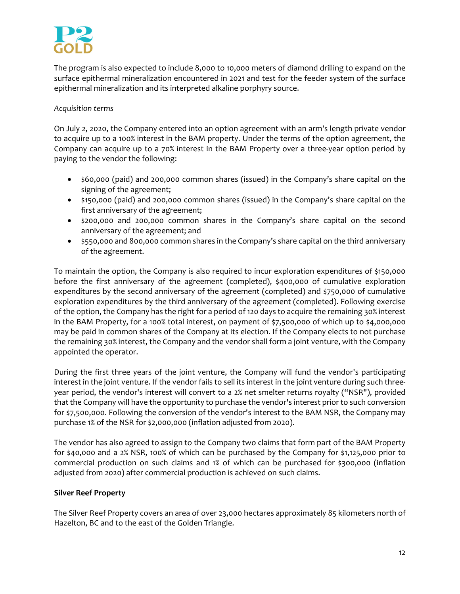

The program is also expected to include 8,000 to 10,000 meters of diamond drilling to expand on the surface epithermal mineralization encountered in 2021 and test for the feeder system of the surface epithermal mineralization and its interpreted alkaline porphyry source.

# *Acquisition terms*

On July 2, 2020, the Company entered into an option agreement with an arm's length private vendor to acquire up to a 100% interest in the BAM property. Under the terms of the option agreement, the Company can acquire up to a 70% interest in the BAM Property over a three‐year option period by paying to the vendor the following:

- \$60,000 (paid) and 200,000 common shares (issued) in the Company's share capital on the signing of the agreement;
- \$150,000 (paid) and 200,000 common shares (issued) in the Company's share capital on the first anniversary of the agreement;
- \$200,000 and 200,000 common shares in the Company's share capital on the second anniversary of the agreement; and
- \$550,000 and 800,000 common shares in the Company's share capital on the third anniversary of the agreement.

To maintain the option, the Company is also required to incur exploration expenditures of \$150,000 before the first anniversary of the agreement (completed), \$400,000 of cumulative exploration expenditures by the second anniversary of the agreement (completed) and \$750,000 of cumulative exploration expenditures by the third anniversary of the agreement (completed). Following exercise of the option, the Company has the right for a period of 120 days to acquire the remaining 30% interest in the BAM Property, for a 100% total interest, on payment of \$7,500,000 of which up to \$4,000,000 may be paid in common shares of the Company at its election. If the Company elects to not purchase the remaining 30% interest, the Company and the vendor shall form a joint venture, with the Company appointed the operator.

During the first three years of the joint venture, the Company will fund the vendor's participating interest in the joint venture. If the vendor fails to sell its interest in the joint venture during such three‐ year period, the vendor's interest will convert to a 2% net smelter returns royalty ("NSR"), provided that the Company will have the opportunity to purchase the vendor's interest prior to such conversion for \$7,500,000. Following the conversion of the vendor's interest to the BAM NSR, the Company may purchase 1% of the NSR for \$2,000,000 (inflation adjusted from 2020).

The vendor has also agreed to assign to the Company two claims that form part of the BAM Property for \$40,000 and a 2% NSR, 100% of which can be purchased by the Company for \$1,125,000 prior to commercial production on such claims and 1% of which can be purchased for \$300,000 (inflation adjusted from 2020) after commercial production is achieved on such claims.

## **Silver Reef Property**

The Silver Reef Property covers an area of over 23,000 hectares approximately 85 kilometers north of Hazelton, BC and to the east of the Golden Triangle.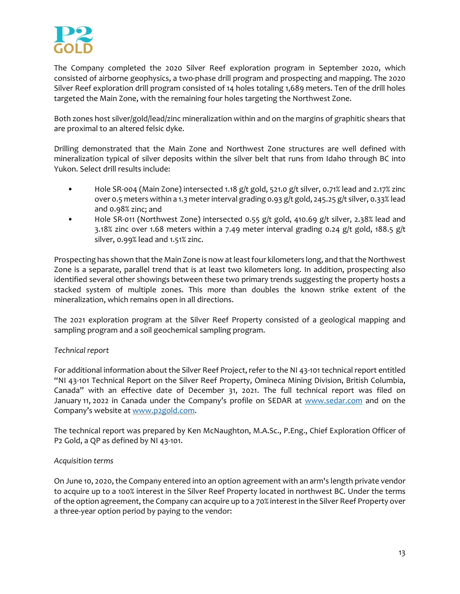

The Company completed the 2020 Silver Reef exploration program in September 2020, which consisted of airborne geophysics, a two-phase drill program and prospecting and mapping. The 2020 Silver Reef exploration drill program consisted of 14 holes totaling 1,689 meters. Ten of the drill holes targeted the Main Zone, with the remaining four holes targeting the Northwest Zone.

Both zones host silver/gold/lead/zinc mineralization within and on the margins of graphitic shears that are proximal to an altered felsic dyke.

Drilling demonstrated that the Main Zone and Northwest Zone structures are well defined with mineralization typical of silver deposits within the silver belt that runs from Idaho through BC into Yukon. Select drill results include:

- Hole SR-004 (Main Zone) intersected 1.18 g/t gold, 521.0 g/t silver, 0.71% lead and 2.17% zinc over 0.5 meters within a 1.3 meterinterval grading 0.93 g/t gold, 245.25 g/t silver, 0.33% lead and 0.98% zinc; and
- Hole SR-011 (Northwest Zone) intersected 0.55 g/t gold, 410.69 g/t silver, 2.38% lead and 3.18% zinc over 1.68 meters within a 7.49 meter interval grading 0.24 g/t gold, 188.5 g/t silver, 0.99% lead and 1.51% zinc.

Prospecting has shown that the Main Zone is now at least four kilometers long, and that the Northwest Zone is a separate, parallel trend that is at least two kilometers long. In addition, prospecting also identified several other showings between these two primary trends suggesting the property hosts a stacked system of multiple zones. This more than doubles the known strike extent of the mineralization, which remains open in all directions.

The 2021 exploration program at the Silver Reef Property consisted of a geological mapping and sampling program and a soil geochemical sampling program.

# *Technical report*

For additional information about the Silver Reef Project, refer to the NI 43‐101 technical report entitled "NI 43‐101 Technical Report on the Silver Reef Property, Omineca Mining Division, British Columbia, Canada" with an effective date of December 31, 2021. The full technical report was filed on January 11, 2022 in Canada under the Company's profile on SEDAR at www.sedar.com and on the Company's website at www.p2gold.com.

The technical report was prepared by Ken McNaughton, M.A.Sc., P.Eng., Chief Exploration Officer of P2 Gold, a QP as defined by NI 43‐101.

## *Acquisition terms*

On June 10, 2020, the Company entered into an option agreement with an arm's length private vendor to acquire up to a 100% interest in the Silver Reef Property located in northwest BC. Under the terms of the option agreement, the Company can acquire up to a 70% interest in the Silver Reef Property over a three‐year option period by paying to the vendor: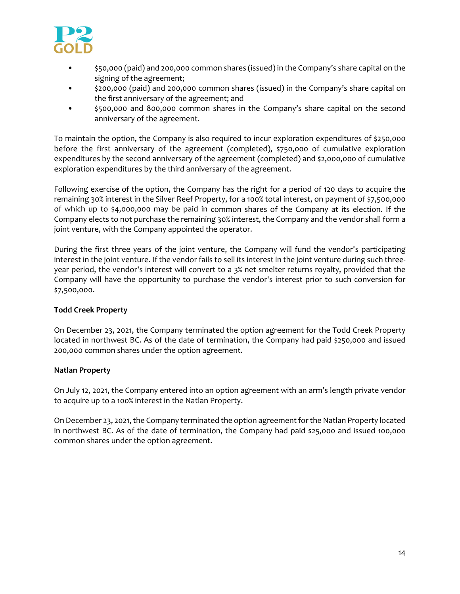

- \$50,000 (paid) and 200,000 common shares (issued) in the Company's share capital on the signing of the agreement;
- \$200,000 (paid) and 200,000 common shares (issued) in the Company's share capital on the first anniversary of the agreement; and
- \$500,000 and 800,000 common shares in the Company's share capital on the second anniversary of the agreement.

To maintain the option, the Company is also required to incur exploration expenditures of \$250,000 before the first anniversary of the agreement (completed), \$750,000 of cumulative exploration expenditures by the second anniversary of the agreement (completed) and \$2,000,000 of cumulative exploration expenditures by the third anniversary of the agreement.

Following exercise of the option, the Company has the right for a period of 120 days to acquire the remaining 30% interest in the Silver Reef Property, for a 100% total interest, on payment of \$7,500,000 of which up to \$4,000,000 may be paid in common shares of the Company at its election. If the Company elects to not purchase the remaining 30% interest, the Company and the vendor shall form a joint venture, with the Company appointed the operator.

During the first three years of the joint venture, the Company will fund the vendor's participating interest in the joint venture. If the vendor fails to sell its interest in the joint venture during such three‐ year period, the vendor's interest will convert to a 3% net smelter returns royalty, provided that the Company will have the opportunity to purchase the vendor's interest prior to such conversion for \$7,500,000.

# **Todd Creek Property**

On December 23, 2021, the Company terminated the option agreement for the Todd Creek Property located in northwest BC. As of the date of termination, the Company had paid \$250,000 and issued 200,000 common shares under the option agreement.

## **Natlan Property**

On July 12, 2021, the Company entered into an option agreement with an arm's length private vendor to acquire up to a 100% interest in the Natlan Property.

On December 23, 2021, the Company terminated the option agreement for the Natlan Property located in northwest BC. As of the date of termination, the Company had paid \$25,000 and issued 100,000 common shares under the option agreement.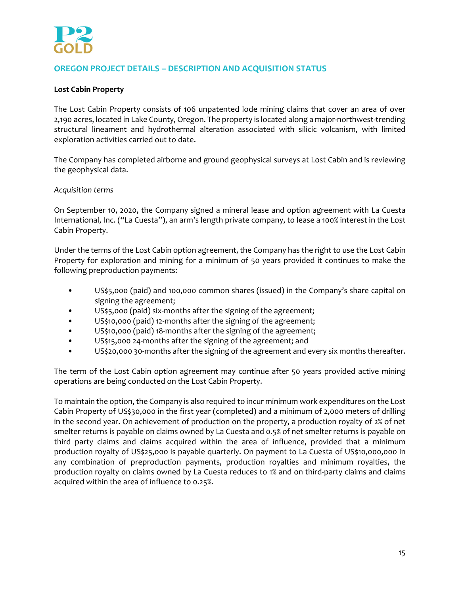

# **OREGON PROJECT DETAILS – DESCRIPTION AND ACQUISITION STATUS**

## **Lost Cabin Property**

The Lost Cabin Property consists of 106 unpatented lode mining claims that cover an area of over 2,190 acres, located in Lake County, Oregon. The property is located along a major-northwest-trending structural lineament and hydrothermal alteration associated with silicic volcanism, with limited exploration activities carried out to date.

The Company has completed airborne and ground geophysical surveys at Lost Cabin and is reviewing the geophysical data.

*Acquisition terms*

On September 10, 2020, the Company signed a mineral lease and option agreement with La Cuesta International, Inc. ("La Cuesta"), an arm's length private company, to lease a 100% interest in the Lost Cabin Property.

Under the terms of the Lost Cabin option agreement, the Company has the right to use the Lost Cabin Property for exploration and mining for a minimum of 50 years provided it continues to make the following preproduction payments:

- US\$5,000 (paid) and 100,000 common shares (issued) in the Company's share capital on signing the agreement;
- US\$5,000 (paid) six‐months after the signing of the agreement;
- US\$10,000 (paid) 12-months after the signing of the agreement;
- US\$10,000 (paid) 18-months after the signing of the agreement;
- US\$15,000 24-months after the signing of the agreement; and
- US\$20,000 30‐months after the signing of the agreement and every six months thereafter.

The term of the Lost Cabin option agreement may continue after 50 years provided active mining operations are being conducted on the Lost Cabin Property.

To maintain the option, the Company is also required to incur minimum work expenditures on the Lost Cabin Property of US\$30,000 in the first year (completed) and a minimum of 2,000 meters of drilling in the second year. On achievement of production on the property, a production royalty of 2% of net smelter returns is payable on claims owned by La Cuesta and 0.5% of net smelter returns is payable on third party claims and claims acquired within the area of influence, provided that a minimum production royalty of US\$25,000 is payable quarterly. On payment to La Cuesta of US\$10,000,000 in any combination of preproduction payments, production royalties and minimum royalties, the production royalty on claims owned by La Cuesta reduces to 1% and on third-party claims and claims acquired within the area of influence to 0.25%.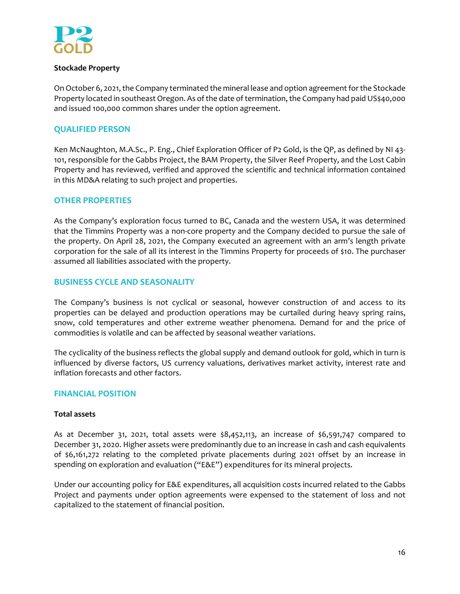

## **Stockade Property**

On October 6, 2021, the Company terminated the mineral lease and option agreement for the Stockade Property located in southeast Oregon. As of the date of termination, the Company had paid US\$40,000 and issued 100,000 common shares under the option agreement.

# **QUALIFIED PERSON**

Ken McNaughton, M.A.Sc., P. Eng., Chief Exploration Officer of P2 Gold, is the QP, as defined by NI 43‐ 101, responsible for the Gabbs Project, the BAM Property, the Silver Reef Property, and the Lost Cabin Property and has reviewed, verified and approved the scientific and technical information contained in this MD&A relating to such project and properties.

# **OTHER PROPERTIES**

As the Company's exploration focus turned to BC, Canada and the western USA, it was determined that the Timmins Property was a non‐core property and the Company decided to pursue the sale of the property. On April 28, 2021, the Company executed an agreement with an arm's length private corporation for the sale of all its interest in the Timmins Property for proceeds of \$10. The purchaser assumed all liabilities associated with the property.

# **BUSINESS CYCLE AND SEASONALITY**

The Company's business is not cyclical or seasonal, however construction of and access to its properties can be delayed and production operations may be curtailed during heavy spring rains, snow, cold temperatures and other extreme weather phenomena. Demand for and the price of commodities is volatile and can be affected by seasonal weather variations.

The cyclicality of the business reflects the global supply and demand outlook for gold, which in turn is influenced by diverse factors, US currency valuations, derivatives market activity, interest rate and inflation forecasts and other factors.

# **FINANCIAL POSITION**

## **Total assets**

As at December 31, 2021, total assets were  $$8,452,113$ , an increase of  $$6,591,747$  compared to December 31, 2020. Higher assets were predominantly due to an increase in cash and cash equivalents of \$6,161,272 relating to the completed private placements during 2021 offset by an increase in spending on exploration and evaluation ("E&E") expenditures for its mineral projects.

Under our accounting policy for E&E expenditures, all acquisition costs incurred related to the Gabbs Project and payments under option agreements were expensed to the statement of loss and not capitalized to the statement of financial position.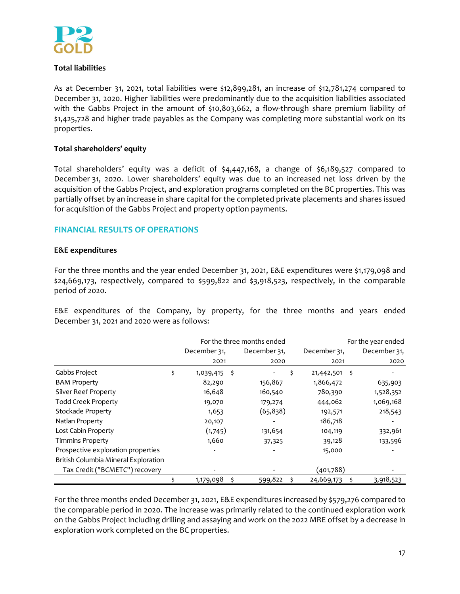

# **Total liabilities**

As at December 31, 2021, total liabilities were \$12,899,281, an increase of \$12,781,274 compared to December 31, 2020. Higher liabilities were predominantly due to the acquisition liabilities associated with the Gabbs Project in the amount of  $$10,803,662$ , a flow-through share premium liability of \$1,425,728 and higher trade payables as the Company was completing more substantial work on its properties.

# **Total shareholders' equity**

Total shareholders' equity was a deficit of \$4,447,168, a change of \$6,189,527 compared to December 31, 2020. Lower shareholders' equity was due to an increased net loss driven by the acquisition of the Gabbs Project, and exploration programs completed on the BC properties. This was partially offset by an increase in share capital for the completed private placements and shares issued for acquisition of the Gabbs Project and property option payments.

# **FINANCIAL RESULTS OF OPERATIONS**

#### **E&E expenditures**

For the three months and the year ended December 31, 2021, E&E expenditures were \$1,179,098 and \$24,669,173, respectively, compared to \$599,822 and \$3,918,523, respectively, in the comparable period of 2020.

E&E expenditures of the Company, by property, for the three months and years ended December 31, 2021 and 2020 were as follows:

|                                      |                        | For the three months ended | For the year ended |                  |              |  |
|--------------------------------------|------------------------|----------------------------|--------------------|------------------|--------------|--|
|                                      | December 31.           | December 31.               |                    | December 31.     | December 31, |  |
|                                      | 2021                   | 2020                       |                    | 2021             | 2020         |  |
| Gabbs Project                        | \$<br>-\$<br>1,039,415 | $\overline{\phantom{a}}$   | \$                 | \$<br>21,442,501 |              |  |
| <b>BAM Property</b>                  | 82,290                 | 156,867                    |                    | 1,866,472        | 635,903      |  |
| <b>Silver Reef Property</b>          | 16,648                 | 160,540                    |                    | 780,390          | 1,528,352    |  |
| <b>Todd Creek Property</b>           | 19,070                 | 179,274                    |                    | 444,062          | 1,069,168    |  |
| Stockade Property                    | 1,653                  | (65, 838)                  |                    | 192,571          | 218,543      |  |
| Natlan Property                      | 20,107                 |                            |                    | 186,718          |              |  |
| Lost Cabin Property                  | (1,745)                | 131,654                    |                    | 104,119          | 332,961      |  |
| <b>Timmins Property</b>              | 1,660                  | 37,325                     |                    | 39,128           | 133,596      |  |
| Prospective exploration properties   |                        |                            |                    | 15,000           |              |  |
| British Columbia Mineral Exploration |                        |                            |                    |                  |              |  |
| Tax Credit ("BCMETC") recovery       |                        |                            |                    | (401,788)        |              |  |
|                                      | 1,179,098<br>\$        | 599,822                    | \$                 | 24,669,173       | 3,918,523    |  |

For the three months ended December 31, 2021, E&E expenditures increased by \$579,276 compared to the comparable period in 2020. The increase was primarily related to the continued exploration work on the Gabbs Project including drilling and assaying and work on the 2022 MRE offset by a decrease in exploration work completed on the BC properties.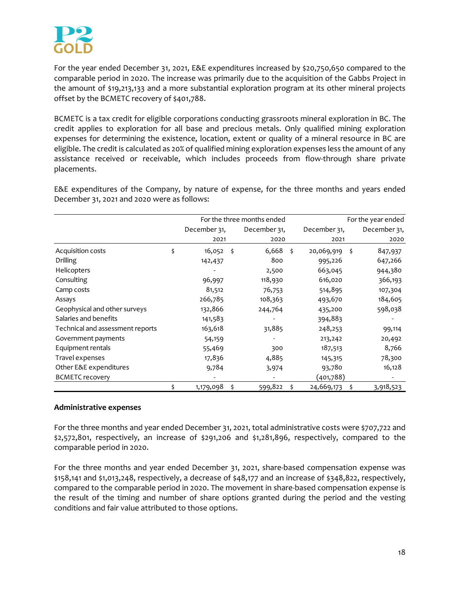

For the year ended December 31, 2021, E&E expenditures increased by \$20,750,650 compared to the comparable period in 2020. The increase was primarily due to the acquisition of the Gabbs Project in the amount of \$19,213,133 and a more substantial exploration program at its other mineral projects offset by the BCMETC recovery of \$401,788.

BCMETC is a tax credit for eligible corporations conducting grassroots mineral exploration in BC. The credit applies to exploration for all base and precious metals. Only qualified mining exploration expenses for determining the existence, location, extent or quality of a mineral resource in BC are eligible. The credit is calculated as 20% of qualified mining exploration expenses less the amount of any assistance received or receivable, which includes proceeds from flow‐through share private placements.

E&E expenditures of the Company, by nature of expense, for the three months and years ended December 31, 2021 and 2020 were as follows:

|                                  |              |      | For the three months ended | For the year ended |            |              |           |
|----------------------------------|--------------|------|----------------------------|--------------------|------------|--------------|-----------|
|                                  | December 31, |      | December 31,               |                    |            | December 31, |           |
|                                  | 2021         |      | 2020                       |                    | 2021       |              | 2020      |
| Acquisition costs                | \$<br>16,052 | - \$ | 6,668                      | Ŝ.                 | 20,069,919 | - \$         | 847,937   |
| Drilling                         | 142,437      |      | 800                        |                    | 995,226    |              | 647,266   |
| Helicopters                      |              |      | 2,500                      |                    | 663,045    |              | 944,380   |
| Consulting                       | 96,997       |      | 118,930                    |                    | 616,020    |              | 366,193   |
| Camp costs                       | 81,512       |      | 76,753                     |                    | 514,895    |              | 107,304   |
| Assays                           | 266,785      |      | 108,363                    |                    | 493,670    |              | 184,605   |
| Geophysical and other surveys    | 132,866      |      | 244,764                    |                    | 435,200    |              | 598,038   |
| Salaries and benefits            | 141,583      |      |                            |                    | 394,883    |              |           |
| Technical and assessment reports | 163,618      |      | 31,885                     |                    | 248,253    |              | 99,114    |
| Government payments              | 54,159       |      |                            |                    | 213,242    |              | 20,492    |
| Equipment rentals                | 55,469       |      | 300                        |                    | 187,513    |              | 8,766     |
| Travel expenses                  | 17,836       |      | 4,885                      |                    | 145,315    |              | 78,300    |
| Other E&E expenditures           | 9,784        |      | 3,974                      |                    | 93,780     |              | 16,128    |
| <b>BCMETC recovery</b>           |              |      |                            |                    | (401,788)  |              |           |
|                                  | 1,179,098    | .s   | 599,822                    | \$                 | 24,669,173 | s            | 3,918,523 |

## **Administrative expenses**

For the three months and year ended December 31, 2021, total administrative costs were \$707,722 and \$2,572,801, respectively, an increase of \$291,206 and \$1,281,896, respectively, compared to the comparable period in 2020.

For the three months and year ended December 31, 2021, share-based compensation expense was \$158,141 and \$1,013,248, respectively, a decrease of \$48,177 and an increase of \$348,822, respectively, compared to the comparable period in 2020. The movement in share-based compensation expense is the result of the timing and number of share options granted during the period and the vesting conditions and fair value attributed to those options.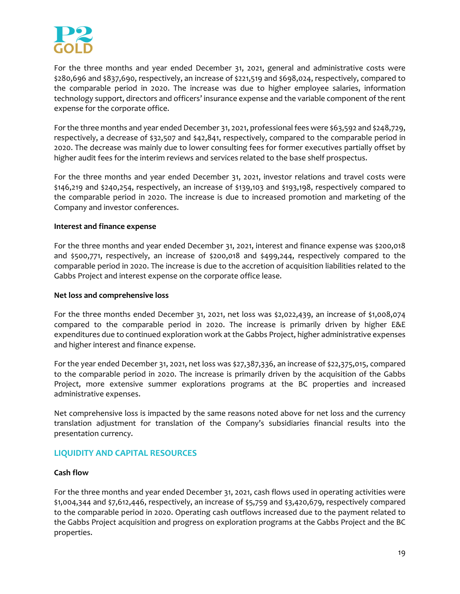

For the three months and year ended December 31, 2021, general and administrative costs were \$280,696 and \$837,690, respectively, an increase of \$221,519 and \$698,024, respectively, compared to the comparable period in 2020. The increase was due to higher employee salaries, information technology support, directors and officers' insurance expense and the variable component of the rent expense for the corporate office.

For the three months and year ended December 31, 2021, professional fees were \$63,592 and \$248,729, respectively, a decrease of \$32,507 and \$42,841, respectively, compared to the comparable period in 2020. The decrease was mainly due to lower consulting fees for former executives partially offset by higher audit fees for the interim reviews and services related to the base shelf prospectus.

For the three months and year ended December 31, 2021, investor relations and travel costs were \$146,219 and \$240,254, respectively, an increase of \$139,103 and \$193,198, respectively compared to the comparable period in 2020. The increase is due to increased promotion and marketing of the Company and investor conferences.

## **Interest and finance expense**

For the three months and year ended December 31, 2021, interest and finance expense was \$200,018 and \$500,771, respectively, an increase of \$200,018 and \$499,244, respectively compared to the comparable period in 2020. The increase is due to the accretion of acquisition liabilities related to the Gabbs Project and interest expense on the corporate office lease.

## **Net loss and comprehensive loss**

For the three months ended December 31, 2021, net loss was \$2,022,439, an increase of \$1,008,074 compared to the comparable period in 2020. The increase is primarily driven by higher E&E expenditures due to continued exploration work at the Gabbs Project, higher administrative expenses and higher interest and finance expense.

For the year ended December 31, 2021, net loss was \$27,387,336, an increase of \$22,375,015, compared to the comparable period in 2020. The increase is primarily driven by the acquisition of the Gabbs Project, more extensive summer explorations programs at the BC properties and increased administrative expenses.

Net comprehensive loss is impacted by the same reasons noted above for net loss and the currency translation adjustment for translation of the Company's subsidiaries financial results into the presentation currency.

# **LIQUIDITY AND CAPITAL RESOURCES**

## **Cash flow**

For the three months and year ended December 31, 2021, cash flows used in operating activities were \$1,004,344 and \$7,612,446, respectively, an increase of \$5,759 and \$3,420,679, respectively compared to the comparable period in 2020. Operating cash outflows increased due to the payment related to the Gabbs Project acquisition and progress on exploration programs at the Gabbs Project and the BC properties.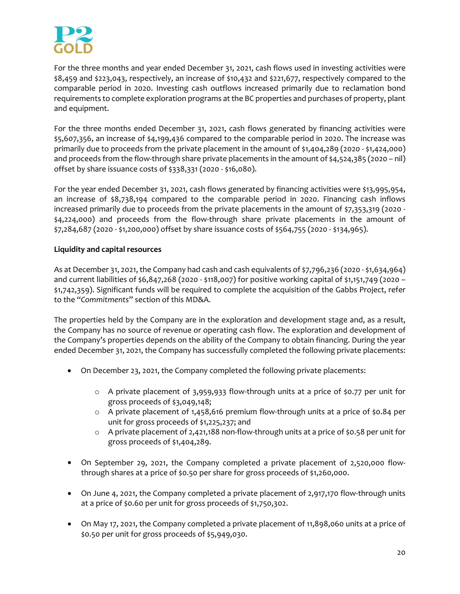

For the three months and year ended December 31, 2021, cash flows used in investing activities were \$8,459 and \$223,043, respectively, an increase of \$10,432 and \$221,677, respectively compared to the comparable period in 2020. Investing cash outflows increased primarily due to reclamation bond requirements to complete exploration programs at the BC properties and purchases of property, plant and equipment.

For the three months ended December 31, 2021, cash flows generated by financing activities were \$5,607,356, an increase of \$4,199,436 compared to the comparable period in 2020. The increase was primarily due to proceeds from the private placement in the amount of \$1,404,289 (2020 ‐ \$1,424,000) and proceeds from the flow-through share private placements in the amount of \$4,524,385 (2020 – nil) offset by share issuance costs of \$338,331 (2020 ‐ \$16,080).

For the year ended December 31, 2021, cash flows generated by financing activities were \$13,995,954, an increase of \$8,738,194 compared to the comparable period in 2020. Financing cash inflows increased primarily due to proceeds from the private placements in the amount of \$7,353,319 (2020 -\$4,224,000) and proceeds from the flow‐through share private placements in the amount of \$7,284,687 (2020 ‐ \$1,200,000) offset by share issuance costs of \$564,755 (2020 ‐ \$134,965).

# **Liquidity and capital resources**

As at December 31, 2021, the Company had cash and cash equivalents of \$7,796,236 (2020 ‐ \$1,634,964) and current liabilities of \$6,847,268 (2020 ‐ \$118,007) for positive working capital of \$1,151,749 (2020 – \$1,742,359). Significant funds will be required to complete the acquisition of the Gabbs Project, refer to the "*Commitments*" section of this MD&A.

The properties held by the Company are in the exploration and development stage and, as a result, the Company has no source of revenue or operating cash flow. The exploration and development of the Company's properties depends on the ability of the Company to obtain financing. During the year ended December 31, 2021, the Company has successfully completed the following private placements:

- On December 23, 2021, the Company completed the following private placements:
	- o A private placement of 3,959,933 flow‐through units at a price of \$0.77 per unit for gross proceeds of \$3,049,148;
	- o A private placement of 1,458,616 premium flow‐through units at a price of \$0.84 per unit for gross proceeds of \$1,225,237; and
	- o A private placement of 2,421,188 non‐flow‐through units at a price of \$0.58 per unit for gross proceeds of \$1,404,289.
- On September 29, 2021, the Company completed a private placement of 2,520,000 flowthrough shares at a price of \$0.50 per share for gross proceeds of \$1,260,000.
- On June 4, 2021, the Company completed a private placement of 2,917,170 flow-through units at a price of \$0.60 per unit for gross proceeds of \$1,750,302.
- On May 17, 2021, the Company completed a private placement of 11,898,060 units at a price of \$0.50 per unit for gross proceeds of \$5,949,030.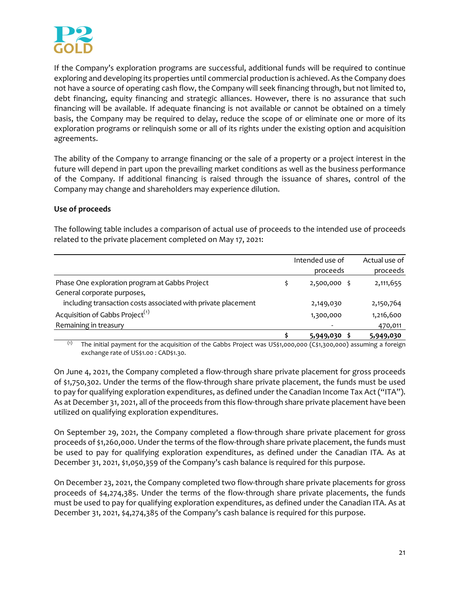

If the Company's exploration programs are successful, additional funds will be required to continue exploring and developing its properties until commercial production is achieved. As the Company does not have a source of operating cash flow, the Company will seek financing through, but not limited to, debt financing, equity financing and strategic alliances. However, there is no assurance that such financing will be available. If adequate financing is not available or cannot be obtained on a timely basis, the Company may be required to delay, reduce the scope of or eliminate one or more of its exploration programs or relinquish some or all of its rights under the existing option and acquisition agreements.

The ability of the Company to arrange financing or the sale of a property or a project interest in the future will depend in part upon the prevailing market conditions as well as the business performance of the Company. If additional financing is raised through the issuance of shares, control of the Company may change and shareholders may experience dilution.

# **Use of proceeds**

The following table includes a comparison of actual use of proceeds to the intended use of proceeds related to the private placement completed on May 17, 2021:

|                                                               | Intended use of | Actual use of |
|---------------------------------------------------------------|-----------------|---------------|
|                                                               | proceeds        | proceeds      |
| Phase One exploration program at Gabbs Project                | 2,500,000 \$    | 2,111,655     |
| General corporate purposes,                                   |                 |               |
| including transaction costs associated with private placement | 2,149,030       | 2,150,764     |
| Acquisition of Gabbs Project <sup>(1)</sup>                   | 1,300,000       | 1,216,600     |
| Remaining in treasury                                         |                 | 470,011       |
|                                                               | 5,949,030       | 5,949,030     |

(1) The initial payment for the acquisition of the Gabbs Project was US\$1,000,000 (C\$1,300,000) assuming a foreign exchange rate of US\$1.00 : CAD\$1.30.

On June 4, 2021, the Company completed a flow-through share private placement for gross proceeds of \$1,750,302. Under the terms of the flow‐through share private placement, the funds must be used to pay for qualifying exploration expenditures, as defined under the Canadian Income Tax Act ("ITA"). As at December 31, 2021, all of the proceeds from this flow-through share private placement have been utilized on qualifying exploration expenditures.

On September 29, 2021, the Company completed a flow-through share private placement for gross proceeds of \$1,260,000. Under the terms of the flow-through share private placement, the funds must be used to pay for qualifying exploration expenditures, as defined under the Canadian ITA. As at December 31, 2021, \$1,050,359 of the Company's cash balance is required for this purpose.

On December 23, 2021, the Company completed two flow‐through share private placements for gross proceeds of \$4,274,385. Under the terms of the flow-through share private placements, the funds must be used to pay for qualifying exploration expenditures, as defined under the Canadian ITA. As at December 31, 2021, \$4,274,385 of the Company's cash balance is required for this purpose.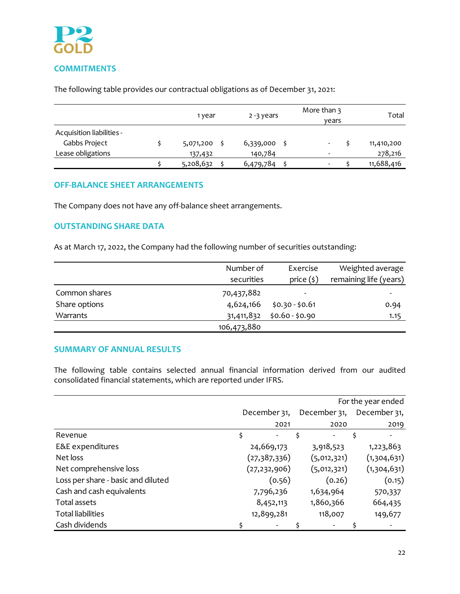

# **COMMITMENTS**

The following table provides our contractual obligations as of December 31, 2021:

|                                            |  | 1 year    | 2-3 years |   | More than 3<br>vears |            |  |
|--------------------------------------------|--|-----------|-----------|---|----------------------|------------|--|
| Acquisition liabilities -<br>Gabbs Project |  | 5,071,200 | 6,339,000 | - |                      | 11,410,200 |  |
| Lease obligations                          |  | 137,432   | 140,784   | ٠ |                      | 278,216    |  |
|                                            |  | 5,208,632 | 6,479,784 | - |                      | 11,688,416 |  |

# **OFF‐BALANCE SHEET ARRANGEMENTS**

The Company does not have any off-balance sheet arrangements.

# **OUTSTANDING SHARE DATA**

As at March 17, 2022, the Company had the following number of securities outstanding:

|               | Number of   | Exercise        | Weighted average       |
|---------------|-------------|-----------------|------------------------|
|               | securities  | price $(\xi)$   | remaining life (years) |
| Common shares | 70,437,882  |                 | ۰                      |
| Share options | 4,624,166   | $$0.30 - $0.61$ | 0.94                   |
| Warrants      | 31,411,832  | $$0.60 - $0.90$ | 1.15                   |
|               | 106,473,880 |                 |                        |

# **SUMMARY OF ANNUAL RESULTS**

The following table contains selected annual financial information derived from our audited consolidated financial statements, which are reported under IFRS.

|                                    | For the year ended           |                          |    |                          |    |              |
|------------------------------------|------------------------------|--------------------------|----|--------------------------|----|--------------|
|                                    | December 31,<br>December 31, |                          |    |                          |    | December 31, |
|                                    |                              | 2021                     |    | 2020                     |    | 2019         |
| Revenue                            | \$                           |                          | \$ |                          | \$ |              |
| E&E expenditures                   |                              | 24,669,173               |    | 3,918,523                |    | 1,223,863    |
| Net loss                           |                              | (27,387,336)             |    | (5,012,321)              |    | (1,304,631)  |
| Net comprehensive loss             |                              | (27, 232, 906)           |    | (5,012,321)              |    | (1,304,631)  |
| Loss per share - basic and diluted |                              | (0.56)                   |    | (0.26)                   |    | (0.15)       |
| Cash and cash equivalents          |                              | 7,796,236                |    | 1,634,964                |    | 570,337      |
| <b>Total assets</b>                |                              | 8,452,113                |    | 1,860,366                |    | 664,435      |
| <b>Total liabilities</b>           |                              | 12,899,281               |    | 118,007                  |    | 149,677      |
| Cash dividends                     |                              | $\overline{\phantom{a}}$ |    | $\overline{\phantom{a}}$ |    |              |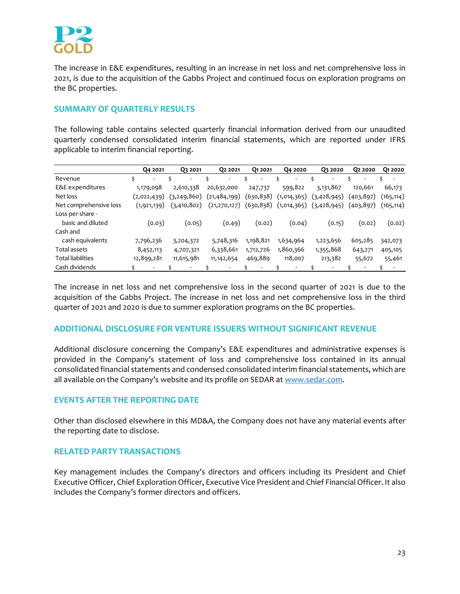

The increase in E&E expenditures, resulting in an increase in net loss and net comprehensive loss in 2021, is due to the acquisition of the Gabbs Project and continued focus on exploration programs on the BC properties.

# **SUMMARY OF QUARTERLY RESULTS**

The following table contains selected quarterly financial information derived from our unaudited quarterly condensed consolidated interim financial statements, which are reported under IFRS applicable to interim financial reporting.

|                          | Q4 2021       | Q3 2021       | 02 2021        | Q1 2021    | Q4 2020     | Q3 2020                     | 02 20 20                 | O <sub>1</sub> 2020      |
|--------------------------|---------------|---------------|----------------|------------|-------------|-----------------------------|--------------------------|--------------------------|
| Revenue                  | \$<br>-       | -             | Ś<br>۰         | Ŝ.         | Ś<br>۰      | ٠                           | $\overline{\phantom{a}}$ | $\overline{\phantom{a}}$ |
| E&E expenditures         | 1,179,098     | 2,610,338     | 20,632,000     | 247,737    | 599,822     | 3,131,867                   | 120,661                  | 66,173                   |
| Net loss                 | (2,022,439)   | (3, 249, 860) | (21, 484, 199) | (630, 838) | (1,014,365) | (3,428,945)                 | (403, 897)               | (165, 114)               |
| Net comprehensive loss   | (1, 921, 139) | (3, 410, 802) | (21, 270, 127) | (630, 838) |             | $(1,014,365)$ $(3,428,945)$ | (403, 897)               | (165, 114)               |
| Loss per share -         |               |               |                |            |             |                             |                          |                          |
| basic and diluted        | (0.03)        | (0.05)        | (0.49)         | (0.02)     | (0.04)      | (0.15)                      | (0.02)                   | (0.02)                   |
| Cash and                 |               |               |                |            |             |                             |                          |                          |
| cash equivalents         | 7,796,236     | 3,204,372     | 5,748,316      | 1,198,821  | 1,634,964   | 1,223,656                   | 605,285                  | 342,073                  |
| Total assets             | 8,452,113     | 4,707,321     | 6,338,661      | 1,712,726  | 1,860,366   | 1,355,868                   | 643,271                  | 405,105                  |
| <b>Total liabilities</b> | 12,899,281    | 11,615,981    | 11, 142, 654   | 469,889    | 118,007     | 213,382                     | 55,672                   | 55,461                   |
| Cash dividends           | ٠             |               | ۰              |            | ۰           | ۰                           | $\overline{\phantom{a}}$ | ٠                        |

The increase in net loss and net comprehensive loss in the second quarter of 2021 is due to the acquisition of the Gabbs Project. The increase in net loss and net comprehensive loss in the third quarter of 2021 and 2020 is due to summer exploration programs on the BC properties.

## **ADDITIONAL DISCLOSURE FOR VENTURE ISSUERS WITHOUT SIGNIFICANT REVENUE**

Additional disclosure concerning the Company's E&E expenditures and administrative expenses is provided in the Company's statement of loss and comprehensive loss contained in its annual consolidated financial statements and condensed consolidated interim financial statements, which are all available on the Company's website and its profile on SEDAR at www.sedar.com.

# **EVENTS AFTER THE REPORTING DATE**

Other than disclosed elsewhere in this MD&A, the Company does not have any material events after the reporting date to disclose.

# **RELATED PARTY TRANSACTIONS**

Key management includes the Company's directors and officers including its President and Chief Executive Officer, Chief Exploration Officer, Executive Vice President and Chief Financial Officer. It also includes the Company's former directors and officers.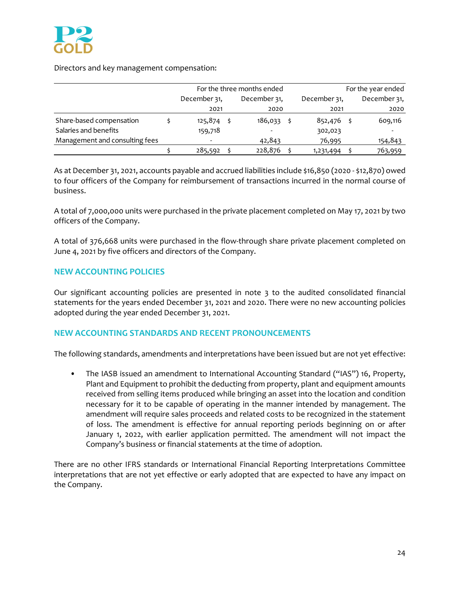## Directors and key management compensation:

|                                | For the three months ended |  |                 |  | For the year ended |  |              |  |
|--------------------------------|----------------------------|--|-----------------|--|--------------------|--|--------------|--|
|                                | December 31,               |  | December 31,    |  | December 31,       |  | December 31, |  |
|                                | 2021                       |  | 2020            |  | 2021               |  | 2020         |  |
| Share-based compensation       | 125,874                    |  | $186,033 \pm 5$ |  | 852,476            |  | 609,116      |  |
| Salaries and benefits          | 159,718                    |  |                 |  | 302,023            |  |              |  |
| Management and consulting fees |                            |  | 42,843          |  | 76,995             |  | 154,843      |  |
|                                | 285,592                    |  | 228,876         |  | 1,231,494          |  | 763,959      |  |

As at December 31, 2021, accounts payable and accrued liabilities include \$16,850 (2020 ‐ \$12,870) owed to four officers of the Company for reimbursement of transactions incurred in the normal course of business.

A total of 7,000,000 units were purchased in the private placement completed on May 17, 2021 by two officers of the Company.

A total of 376,668 units were purchased in the flow‐through share private placement completed on June 4, 2021 by five officers and directors of the Company.

# **NEW ACCOUNTING POLICIES**

Our significant accounting policies are presented in note 3 to the audited consolidated financial statements for the years ended December 31, 2021 and 2020. There were no new accounting policies adopted during the year ended December 31, 2021.

# **NEW ACCOUNTING STANDARDS AND RECENT PRONOUNCEMENTS**

The following standards, amendments and interpretations have been issued but are not yet effective:

• The IASB issued an amendment to International Accounting Standard ("IAS") 16, Property, Plant and Equipment to prohibit the deducting from property, plant and equipment amounts received from selling items produced while bringing an asset into the location and condition necessary for it to be capable of operating in the manner intended by management. The amendment will require sales proceeds and related costs to be recognized in the statement of loss. The amendment is effective for annual reporting periods beginning on or after January 1, 2022, with earlier application permitted. The amendment will not impact the Company's business or financial statements at the time of adoption.

There are no other IFRS standards or International Financial Reporting Interpretations Committee interpretations that are not yet effective or early adopted that are expected to have any impact on the Company.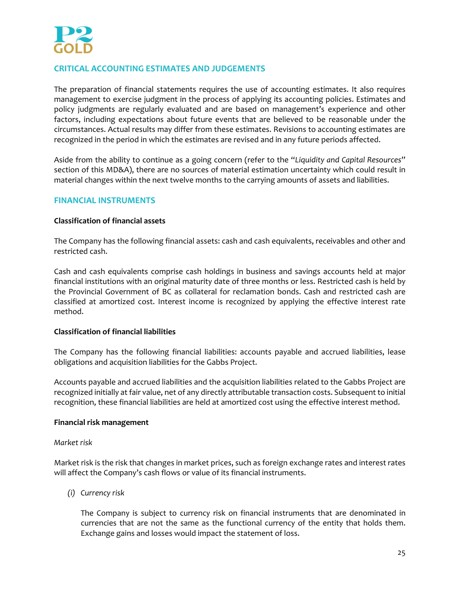

# **CRITICAL ACCOUNTING ESTIMATES AND JUDGEMENTS**

The preparation of financial statements requires the use of accounting estimates. It also requires management to exercise judgment in the process of applying its accounting policies. Estimates and policy judgments are regularly evaluated and are based on management's experience and other factors, including expectations about future events that are believed to be reasonable under the circumstances. Actual results may differ from these estimates. Revisions to accounting estimates are recognized in the period in which the estimates are revised and in any future periods affected.

Aside from the ability to continue as a going concern (refer to the "*Liquidity and Capital Resources*" section of this MD&A), there are no sources of material estimation uncertainty which could result in material changes within the next twelve months to the carrying amounts of assets and liabilities.

# **FINANCIAL INSTRUMENTS**

## **Classification of financial assets**

The Company has the following financial assets: cash and cash equivalents, receivables and other and restricted cash.

Cash and cash equivalents comprise cash holdings in business and savings accounts held at major financial institutions with an original maturity date of three months or less. Restricted cash is held by the Provincial Government of BC as collateral for reclamation bonds. Cash and restricted cash are classified at amortized cost. Interest income is recognized by applying the effective interest rate method.

## **Classification of financial liabilities**

The Company has the following financial liabilities: accounts payable and accrued liabilities, lease obligations and acquisition liabilities for the Gabbs Project.

Accounts payable and accrued liabilities and the acquisition liabilities related to the Gabbs Project are recognized initially at fair value, net of any directly attributable transaction costs. Subsequent to initial recognition, these financial liabilities are held at amortized cost using the effective interest method.

#### **Financial risk management**

#### *Market risk*

Market risk is the risk that changes in market prices, such as foreign exchange rates and interest rates will affect the Company's cash flows or value of its financial instruments.

*(i) Currency risk*

The Company is subject to currency risk on financial instruments that are denominated in currencies that are not the same as the functional currency of the entity that holds them. Exchange gains and losses would impact the statement of loss.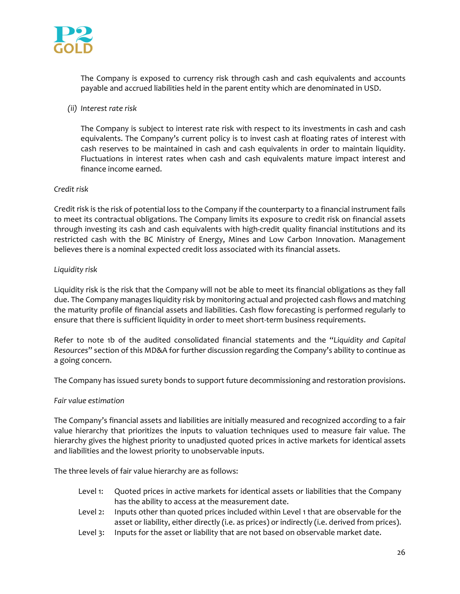

The Company is exposed to currency risk through cash and cash equivalents and accounts payable and accrued liabilities held in the parent entity which are denominated in USD.

*(ii) Interest rate risk*

The Company is subject to interest rate risk with respect to its investments in cash and cash equivalents. The Company's current policy is to invest cash at floating rates of interest with cash reserves to be maintained in cash and cash equivalents in order to maintain liquidity. Fluctuations in interest rates when cash and cash equivalents mature impact interest and finance income earned.

## *Credit risk*

Credit risk is the risk of potential loss to the Company if the counterparty to a financial instrument fails to meet its contractual obligations. The Company limits its exposure to credit risk on financial assets through investing its cash and cash equivalents with high-credit quality financial institutions and its restricted cash with the BC Ministry of Energy, Mines and Low Carbon Innovation. Management believes there is a nominal expected credit loss associated with its financial assets.

## *Liquidity risk*

Liquidity risk is the risk that the Company will not be able to meet its financial obligations as they fall due. The Company manages liquidity risk by monitoring actual and projected cash flows and matching the maturity profile of financial assets and liabilities. Cash flow forecasting is performed regularly to ensure that there is sufficient liquidity in order to meet short-term business requirements.

Refer to note 1b of the audited consolidated financial statements and the "*Liquidity and Capital Resources*" section of this MD&A for further discussion regarding the Company's ability to continue as a going concern.

The Company has issued surety bonds to support future decommissioning and restoration provisions.

## *Fair value estimation*

The Company's financial assets and liabilities are initially measured and recognized according to a fair value hierarchy that prioritizes the inputs to valuation techniques used to measure fair value. The hierarchy gives the highest priority to unadjusted quoted prices in active markets for identical assets and liabilities and the lowest priority to unobservable inputs.

The three levels of fair value hierarchy are as follows:

- Level 1: Quoted prices in active markets for identical assets or liabilities that the Company has the ability to access at the measurement date.
- Level 2: Inputs other than quoted prices included within Level 1 that are observable for the asset or liability, either directly (i.e. as prices) or indirectly (i.e. derived from prices).
- Level 3: Inputs for the asset or liability that are not based on observable market date.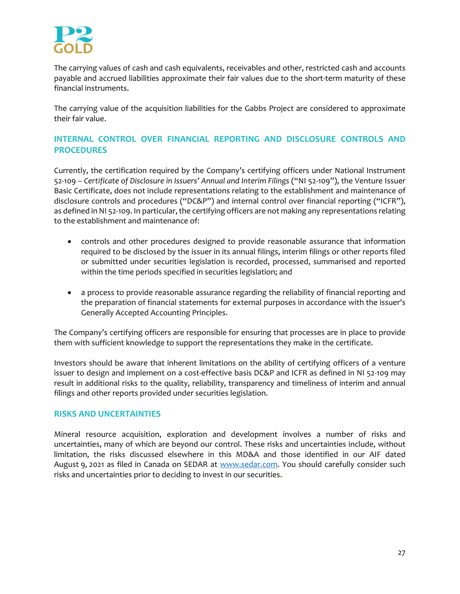

The carrying values of cash and cash equivalents, receivables and other, restricted cash and accounts payable and accrued liabilities approximate their fair values due to the short-term maturity of these financial instruments.

The carrying value of the acquisition liabilities for the Gabbs Project are considered to approximate their fair value.

# **INTERNAL CONTROL OVER FINANCIAL REPORTING AND DISCLOSURE CONTROLS AND PROCEDURES**

Currently, the certification required by the Company's certifying officers under National Instrument 52‐109 – *Certificate of Disclosure in Issuers' Annual and Interim Filings* ("NI 52‐109"), the Venture Issuer Basic Certificate, does not include representations relating to the establishment and maintenance of disclosure controls and procedures ("DC&P") and internal control over financial reporting ("ICFR"), as defined in NI 52-109. In particular, the certifying officers are not making any representations relating to the establishment and maintenance of:

- controls and other procedures designed to provide reasonable assurance that information required to be disclosed by the issuer in its annual filings, interim filings or other reports filed or submitted under securities legislation is recorded, processed, summarised and reported within the time periods specified in securities legislation; and
- a process to provide reasonable assurance regarding the reliability of financial reporting and the preparation of financial statements for external purposes in accordance with the issuer's Generally Accepted Accounting Principles.

The Company's certifying officers are responsible for ensuring that processes are in place to provide them with sufficient knowledge to support the representations they make in the certificate.

Investors should be aware that inherent limitations on the ability of certifying officers of a venture issuer to design and implement on a cost‐effective basis DC&P and ICFR as defined in NI 52‐109 may result in additional risks to the quality, reliability, transparency and timeliness of interim and annual filings and other reports provided under securities legislation.

# **RISKS AND UNCERTAINTIES**

Mineral resource acquisition, exploration and development involves a number of risks and uncertainties, many of which are beyond our control. These risks and uncertainties include, without limitation, the risks discussed elsewhere in this MD&A and those identified in our AIF dated August 9, 2021 as filed in Canada on SEDAR at www.sedar.com. You should carefully consider such risks and uncertainties prior to deciding to invest in our securities.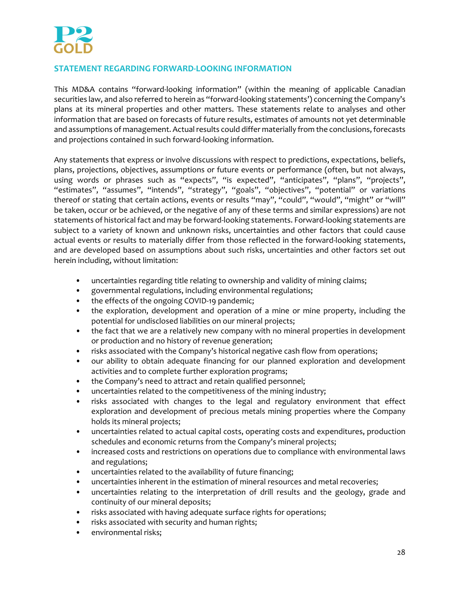

# **STATEMENT REGARDING FORWARD‐LOOKING INFORMATION**

This MD&A contains "forward‐looking information" (within the meaning of applicable Canadian securities law, and also referred to herein as "forward-looking statements') concerning the Company's plans at its mineral properties and other matters. These statements relate to analyses and other information that are based on forecasts of future results, estimates of amounts not yet determinable and assumptions of management. Actual results could differ materially from the conclusions, forecasts and projections contained in such forward-looking information.

Any statements that express or involve discussions with respect to predictions, expectations, beliefs, plans, projections, objectives, assumptions or future events or performance (often, but not always, using words or phrases such as "expects", "is expected", "anticipates", "plans", "projects", "estimates", "assumes", "intends", "strategy", "goals", "objectives", "potential" or variations thereof or stating that certain actions, events or results "may", "could", "would", "might" or "will" be taken, occur or be achieved, or the negative of any of these terms and similar expressions) are not statements of historical fact and may be forward‐looking statements. Forward‐looking statements are subject to a variety of known and unknown risks, uncertainties and other factors that could cause actual events or results to materially differ from those reflected in the forward‐looking statements, and are developed based on assumptions about such risks, uncertainties and other factors set out herein including, without limitation:

- uncertainties regarding title relating to ownership and validity of mining claims;
- governmental regulations, including environmental regulations;
- the effects of the ongoing COVID-19 pandemic;
- the exploration, development and operation of a mine or mine property, including the potential for undisclosed liabilities on our mineral projects;
- the fact that we are a relatively new company with no mineral properties in development or production and no history of revenue generation;
- risks associated with the Company's historical negative cash flow from operations;
- our ability to obtain adequate financing for our planned exploration and development activities and to complete further exploration programs;
- the Company's need to attract and retain qualified personnel;
- uncertainties related to the competitiveness of the mining industry;
- risks associated with changes to the legal and regulatory environment that effect exploration and development of precious metals mining properties where the Company holds its mineral projects;
- uncertainties related to actual capital costs, operating costs and expenditures, production schedules and economic returns from the Company's mineral projects;
- increased costs and restrictions on operations due to compliance with environmental laws and regulations;
- uncertainties related to the availability of future financing;
- uncertainties inherent in the estimation of mineral resources and metal recoveries;
- uncertainties relating to the interpretation of drill results and the geology, grade and continuity of our mineral deposits;
- risks associated with having adequate surface rights for operations;
- risks associated with security and human rights;
- environmental risks;